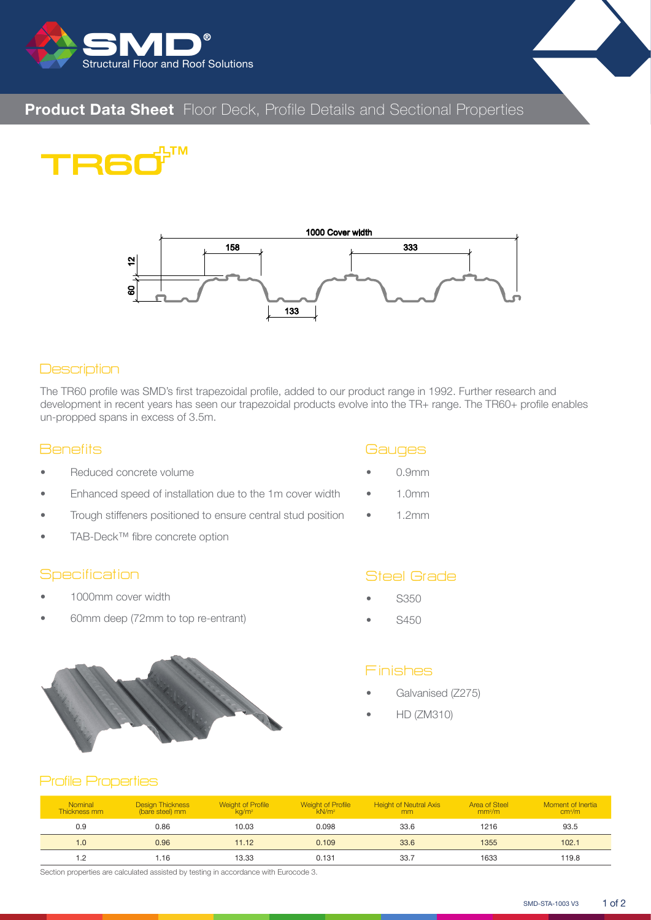

# **Product Data Sheet** Floor Deck, Profile Details and Sectional Properties





#### **Description**

The TR60 profile was SMD's first trapezoidal profile, added to our product range in 1992. Further research and development in recent years has seen our trapezoidal products evolve into the TR+ range. The TR60+ profile enables un-propped spans in excess of 3.5m.

#### **Benefits**

- Reduced concrete volume
- Enhanced speed of installation due to the 1m cover width
- Trough stiffeners positioned to ensure central stud position
- TAB-Deck™ fibre concrete option

#### **Specification**

- 1000mm cover width
- 60mm deep (72mm to top re-entrant)



#### **Gauges**

- 0.9mm
- 1.0mm
- $\bullet$  1.2mm

### Steel Grade

- S350
- S450

#### Finishes

- Galvanised (Z275)
- HD (ZM310)

#### Profile Properties

| <b>Nominal</b><br>Thickness mm | <b>Design Thickness</b><br>(bare steel) mm | <b>Weight of Profile</b><br>ka/m <sup>2</sup> | Weight of Profile<br>kN/m <sup>2</sup> | <b>Height of Neutral Axis</b><br>mm | <b>Area of Steel</b><br>mm <sup>2</sup> /m | Moment of Inertia<br>cm <sup>4</sup> /m |
|--------------------------------|--------------------------------------------|-----------------------------------------------|----------------------------------------|-------------------------------------|--------------------------------------------|-----------------------------------------|
| 0.9                            | 0.86                                       | 10.03                                         | 0.098                                  | 33.6                                | 1216                                       | 93.5                                    |
| 1.0                            | 0.96                                       | 11.12                                         | 0.109                                  | 33.6                                | 1355                                       | 102.1                                   |
| 1.2                            | .16.                                       | 13.33                                         | 0.131                                  | 33.7                                | 1633                                       | 119.8                                   |

Section properties are calculated assisted by testing in accordance with Eurocode 3.